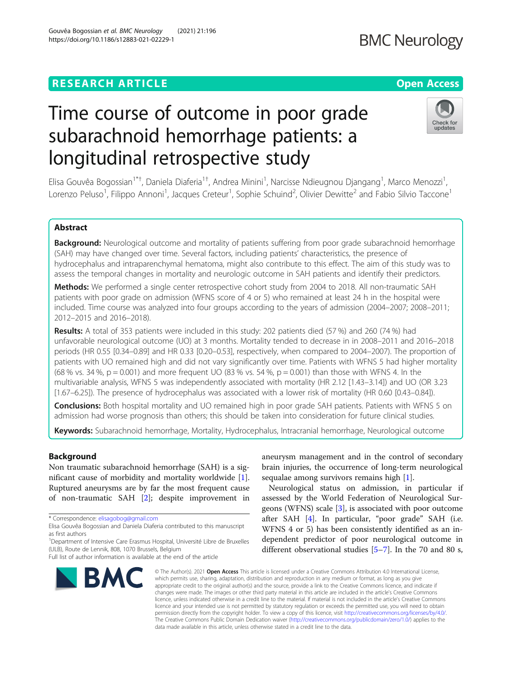# **RESEARCH ARTICLE Example 2014 12:30 The Contract of Contract ACCESS**

# Time course of outcome in poor grade subarachnoid hemorrhage patients: a longitudinal retrospective study

Elisa Gouvêa Bogossian<sup>1\*†</sup>, Daniela Diaferia<sup>1†</sup>, Andrea Minini<sup>1</sup>, Narcisse Ndieugnou Djangang<sup>1</sup>, Marco Menozzi<sup>1</sup> , Lorenzo Peluso<sup>1</sup>, Filippo Annoni<sup>1</sup>, Jacques Creteur<sup>1</sup>, Sophie Schuind<sup>2</sup>, Olivier Dewitte<sup>2</sup> and Fabio Silvio Taccone<sup>1</sup>

# Abstract

Background: Neurological outcome and mortality of patients suffering from poor grade subarachnoid hemorrhage (SAH) may have changed over time. Several factors, including patients' characteristics, the presence of hydrocephalus and intraparenchymal hematoma, might also contribute to this effect. The aim of this study was to assess the temporal changes in mortality and neurologic outcome in SAH patients and identify their predictors.

Methods: We performed a single center retrospective cohort study from 2004 to 2018. All non-traumatic SAH patients with poor grade on admission (WFNS score of 4 or 5) who remained at least 24 h in the hospital were included. Time course was analyzed into four groups according to the years of admission (2004–2007; 2008–2011; 2012–2015 and 2016–2018).

Results: A total of 353 patients were included in this study: 202 patients died (57 %) and 260 (74 %) had unfavorable neurological outcome (UO) at 3 months. Mortality tended to decrease in in 2008–2011 and 2016–2018 periods (HR 0.55 [0.34–0.89] and HR 0.33 [0.20–0.53], respectively, when compared to 2004–2007). The proportion of patients with UO remained high and did not vary significantly over time. Patients with WFNS 5 had higher mortality (68 % vs. 34 %,  $p = 0.001$ ) and more frequent UO (83 % vs. 54 %,  $p = 0.001$ ) than those with WFNS 4. In the multivariable analysis, WFNS 5 was independently associated with mortality (HR 2.12 [1.43–3.14]) and UO (OR 3.23 [1.67–6.25]). The presence of hydrocephalus was associated with a lower risk of mortality (HR 0.60 [0.43–0.84]).

**Conclusions:** Both hospital mortality and UO remained high in poor grade SAH patients. Patients with WFNS 5 on admission had worse prognosis than others; this should be taken into consideration for future clinical studies.

Keywords: Subarachnoid hemorrhage, Mortality, Hydrocephalus, Intracranial hemorrhage, Neurological outcome

# Background

Non traumatic subarachnoid hemorrhage (SAH) is a significant cause of morbidity and mortality worldwide [\[1](#page-8-0)]. Ruptured aneurysms are by far the most frequent cause of non-traumatic SAH [\[2](#page-8-0)]; despite improvement in

\* Correspondence: [elisagobog@gmail.com](mailto:elisagobog@gmail.com)

aneurysm management and in the control of secondary brain injuries, the occurrence of long-term neurological sequalae among survivors remains high [\[1](#page-8-0)].

Neurological status on admission, in particular if assessed by the World Federation of Neurological Surgeons (WFNS) scale  $[3]$  $[3]$ , is associated with poor outcome after SAH [\[4](#page-8-0)]. In particular, "poor grade" SAH (i.e. WFNS 4 or 5) has been consistently identified as an independent predictor of poor neurological outcome in different observational studies [\[5](#page-8-0)–[7\]](#page-8-0). In the 70 and 80 s,

© The Author(s), 2021 **Open Access** This article is licensed under a Creative Commons Attribution 4.0 International License, which permits use, sharing, adaptation, distribution and reproduction in any medium or format, as long as you give appropriate credit to the original author(s) and the source, provide a link to the Creative Commons licence, and indicate if changes were made. The images or other third party material in this article are included in the article's Creative Commons licence, unless indicated otherwise in a credit line to the material. If material is not included in the article's Creative Commons licence and your intended use is not permitted by statutory regulation or exceeds the permitted use, you will need to obtain permission directly from the copyright holder. To view a copy of this licence, visit [http://creativecommons.org/licenses/by/4.0/.](http://creativecommons.org/licenses/by/4.0/) The Creative Commons Public Domain Dedication waiver [\(http://creativecommons.org/publicdomain/zero/1.0/](http://creativecommons.org/publicdomain/zero/1.0/)) applies to the data made available in this article, unless otherwise stated in a credit line to the data.



**BMC Neurology** 



Elisa Gouvêa Bogossian and Daniela Diaferia contributed to this manuscript as first authors

<sup>&</sup>lt;sup>1</sup>Department of Intensive Care Erasmus Hospital, Université Libre de Bruxelles (ULB), Route de Lennik, 808, 1070 Brussels, Belgium

Full list of author information is available at the end of the article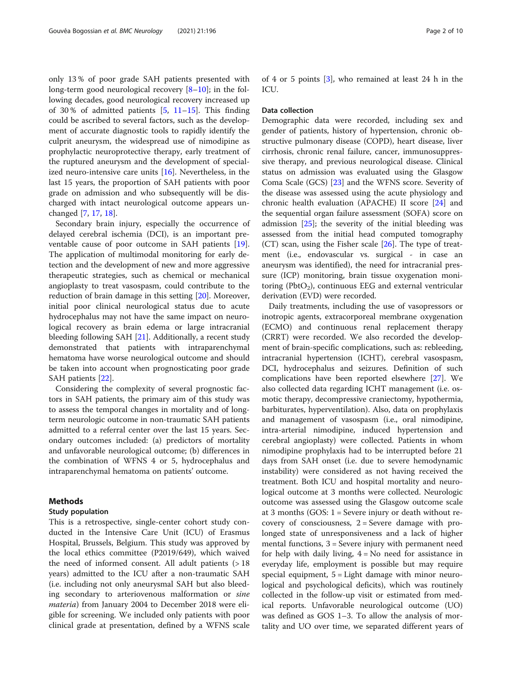only 13 % of poor grade SAH patients presented with long-term good neurological recovery [\[8](#page-8-0)–[10\]](#page-8-0); in the following decades, good neurological recovery increased up of 30% of admitted patients  $[5, 11–15]$  $[5, 11–15]$  $[5, 11–15]$  $[5, 11–15]$  $[5, 11–15]$  $[5, 11–15]$ . This finding could be ascribed to several factors, such as the development of accurate diagnostic tools to rapidly identify the culprit aneurysm, the widespread use of nimodipine as prophylactic neuroprotective therapy, early treatment of the ruptured aneurysm and the development of specialized neuro-intensive care units [[16](#page-9-0)]. Nevertheless, in the last 15 years, the proportion of SAH patients with poor grade on admission and who subsequently will be discharged with intact neurological outcome appears unchanged [[7,](#page-8-0) [17](#page-9-0), [18](#page-9-0)].

Secondary brain injury, especially the occurrence of delayed cerebral ischemia (DCI), is an important preventable cause of poor outcome in SAH patients [\[19](#page-9-0)]. The application of multimodal monitoring for early detection and the development of new and more aggressive therapeutic strategies, such as chemical or mechanical angioplasty to treat vasospasm, could contribute to the reduction of brain damage in this setting [\[20](#page-9-0)]. Moreover, initial poor clinical neurological status due to acute hydrocephalus may not have the same impact on neurological recovery as brain edema or large intracranial bleeding following SAH [\[21\]](#page-9-0). Additionally, a recent study demonstrated that patients with intraparenchymal hematoma have worse neurological outcome and should be taken into account when prognosticating poor grade SAH patients [\[22](#page-9-0)].

Considering the complexity of several prognostic factors in SAH patients, the primary aim of this study was to assess the temporal changes in mortality and of longterm neurologic outcome in non-traumatic SAH patients admitted to a referral center over the last 15 years. Secondary outcomes included: (a) predictors of mortality and unfavorable neurological outcome; (b) differences in the combination of WFNS 4 or 5, hydrocephalus and intraparenchymal hematoma on patients' outcome.

# Methods

### Study population

This is a retrospective, single-center cohort study conducted in the Intensive Care Unit (ICU) of Erasmus Hospital, Brussels, Belgium. This study was approved by the local ethics committee (P2019/649), which waived the need of informed consent. All adult patients (> 18 years) admitted to the ICU after a non-traumatic SAH (i.e. including not only aneurysmal SAH but also bleeding secondary to arteriovenous malformation or sine materia) from January 2004 to December 2018 were eligible for screening. We included only patients with poor clinical grade at presentation, defined by a WFNS scale of 4 or 5 points [\[3](#page-8-0)], who remained at least 24 h in the ICU.

#### Data collection

Demographic data were recorded, including sex and gender of patients, history of hypertension, chronic obstructive pulmonary disease (COPD), heart disease, liver cirrhosis, chronic renal failure, cancer, immunosuppressive therapy, and previous neurological disease. Clinical status on admission was evaluated using the Glasgow Coma Scale (GCS) [[23\]](#page-9-0) and the WFNS score. Severity of the disease was assessed using the acute physiology and chronic health evaluation (APACHE) II score [\[24\]](#page-9-0) and the sequential organ failure assessment (SOFA) score on admission [[25](#page-9-0)]; the severity of the initial bleeding was assessed from the initial head computed tomography  $(CT)$  scan, using the Fisher scale  $[26]$  $[26]$ . The type of treatment (i.e., endovascular vs. surgical - in case an aneurysm was identified), the need for intracranial pressure (ICP) monitoring, brain tissue oxygenation monitoring ( $PbtO<sub>2</sub>$ ), continuous EEG and external ventricular derivation (EVD) were recorded.

Daily treatments, including the use of vasopressors or inotropic agents, extracorporeal membrane oxygenation (ECMO) and continuous renal replacement therapy (CRRT) were recorded. We also recorded the development of brain-specific complications, such as: rebleeding, intracranial hypertension (ICHT), cerebral vasospasm, DCI, hydrocephalus and seizures. Definition of such complications have been reported elsewhere [[27\]](#page-9-0). We also collected data regarding ICHT management (i.e. osmotic therapy, decompressive craniectomy, hypothermia, barbiturates, hyperventilation). Also, data on prophylaxis and management of vasospasm (i.e., oral nimodipine, intra-arterial nimodipine, induced hypertension and cerebral angioplasty) were collected. Patients in whom nimodipine prophylaxis had to be interrupted before 21 days from SAH onset (i.e. due to severe hemodynamic instability) were considered as not having received the treatment. Both ICU and hospital mortality and neurological outcome at 3 months were collected. Neurologic outcome was assessed using the Glasgow outcome scale at 3 months (GOS: 1 = Severe injury or death without recovery of consciousness,  $2 =$  Severe damage with prolonged state of unresponsiveness and a lack of higher mental functions, 3 = Severe injury with permanent need for help with daily living,  $4 = No$  need for assistance in everyday life, employment is possible but may require special equipment, 5 = Light damage with minor neurological and psychological deficits), which was routinely collected in the follow-up visit or estimated from medical reports. Unfavorable neurological outcome (UO) was defined as GOS 1–3. To allow the analysis of mortality and UO over time, we separated different years of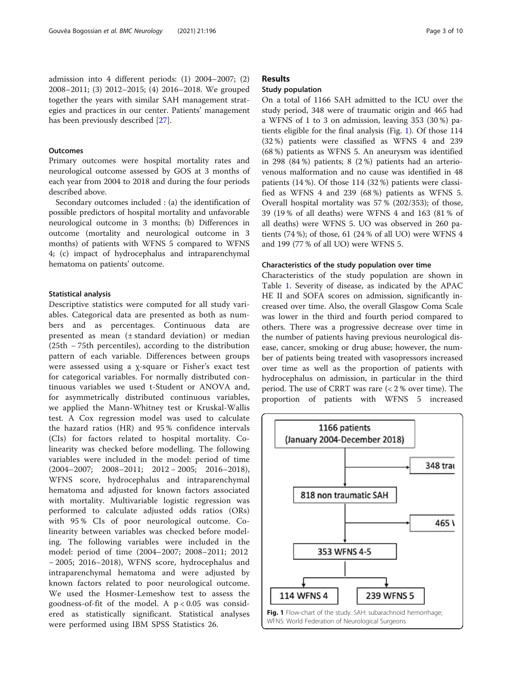# **Outcomes**

Primary outcomes were hospital mortality rates and neurological outcome assessed by GOS at 3 months of each year from 2004 to 2018 and during the four periods described above.

Secondary outcomes included : (a) the identification of possible predictors of hospital mortality and unfavorable neurological outcome in 3 months; (b) Differences in outcome (mortality and neurological outcome in 3 months) of patients with WFNS 5 compared to WFNS 4; (c) impact of hydrocephalus and intraparenchymal hematoma on patients' outcome.

# Statistical analysis

Descriptive statistics were computed for all study variables. Categorical data are presented as both as numbers and as percentages. Continuous data are presented as mean (± standard deviation) or median (25th − 75th percentiles), according to the distribution pattern of each variable. Differences between groups were assessed using a χ-square or Fisher's exact test for categorical variables. For normally distributed continuous variables we used t-Student or ANOVA and, for asymmetrically distributed continuous variables, we applied the Mann-Whitney test or Kruskal-Wallis test. A Cox regression model was used to calculate the hazard ratios (HR) and 95 % confidence intervals (CIs) for factors related to hospital mortality. Colinearity was checked before modelling. The following variables were included in the model: period of time (2004–2007; 2008–2011; 2012 − 2005; 2016–2018), WFNS score, hydrocephalus and intraparenchymal hematoma and adjusted for known factors associated with mortality. Multivariable logistic regression was performed to calculate adjusted odds ratios (ORs) with 95 % CIs of poor neurological outcome. Colinearity between variables was checked before modeling. The following variables were included in the model: period of time (2004–2007; 2008–2011; 2012 − 2005; 2016–2018), WFNS score, hydrocephalus and intraparenchymal hematoma and were adjusted by known factors related to poor neurological outcome. We used the Hosmer-Lemeshow test to assess the goodness-of-fit of the model. A  $p < 0.05$  was considered as statistically significant. Statistical analyses were performed using IBM SPSS Statistics 26.

# Results

# Study population

On a total of 1166 SAH admitted to the ICU over the study period, 348 were of traumatic origin and 465 had a WFNS of 1 to 3 on admission, leaving 353 (30 %) patients eligible for the final analysis (Fig. 1). Of those 114 (32 %) patients were classified as WFNS 4 and 239 (68 %) patients as WFNS 5. An aneurysm was identified in 298 (84 %) patients; 8 (2 %) patients had an arteriovenous malformation and no cause was identified in 48 patients (14 %). Of those 114 (32 %) patients were classified as WFNS 4 and 239 (68 %) patients as WFNS 5. Overall hospital mortality was 57 % (202/353); of those, 39 (19 % of all deaths) were WFNS 4 and 163 (81 % of all deaths) were WFNS 5. UO was observed in 260 patients (74 %); of those, 61 (24 % of all UO) were WFNS 4 and 199 (77 % of all UO) were WFNS 5.

#### Characteristics of the study population over time

Characteristics of the study population are shown in Table [1.](#page-3-0) Severity of disease, as indicated by the APAC HE II and SOFA scores on admission, significantly increased over time. Also, the overall Glasgow Coma Scale was lower in the third and fourth period compared to others. There was a progressive decrease over time in the number of patients having previous neurological disease, cancer, smoking or drug abuse; however, the number of patients being treated with vasopressors increased over time as well as the proportion of patients with hydrocephalus on admission, in particular in the third period. The use of CRRT was rare (< 2 % over time). The proportion of patients with WFNS 5 increased

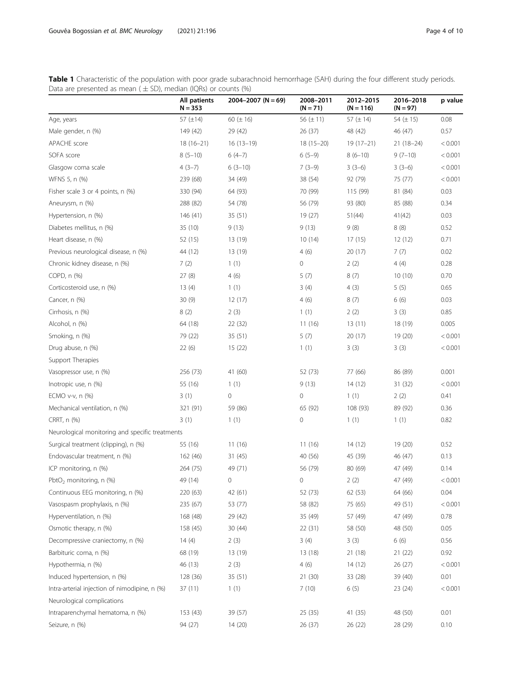<span id="page-3-0"></span>Table 1 Characteristic of the population with poor grade subarachnoid hemorrhage (SAH) during the four different study periods. Data are presented as mean  $(\pm$  SD), median (IQRs) or counts (%)

|                                                 | All patients<br>$N = 353$ | $2004 - 2007$ (N = 69) | 2008-2011<br>$(N = 71)$ | 2012-2015<br>$(N = 116)$ | 2016-2018<br>$(N = 97)$ | p value |
|-------------------------------------------------|---------------------------|------------------------|-------------------------|--------------------------|-------------------------|---------|
| Age, years                                      | 57 $(\pm 14)$             | 60 $(\pm 16)$          | 56 $(\pm 11)$           | 57 ( $\pm$ 14)           | 54 $(\pm 15)$           | 0.08    |
| Male gender, n (%)                              | 149 (42)                  | 29 (42)                | 26 (37)                 | 48 (42)                  | 46 (47)                 | 0.57    |
| APACHE score                                    | $18(16-21)$               | $16(13-19)$            | $18(15-20)$             | $19(17-21)$              | $21(18-24)$             | < 0.001 |
| SOFA score                                      | $8(5-10)$                 | $6(4-7)$               | $6(5-9)$                | $8(6-10)$                | $9(7-10)$               | < 0.001 |
| Glasgow coma scale                              | $4(3-7)$                  | $6(3-10)$              | $7(3-9)$                | $3(3-6)$                 | $3(3-6)$                | < 0.001 |
| WFNS 5, n (%)                                   | 239 (68)                  | 34 (49)                | 38 (54)                 | 92 (79)                  | 75 (77)                 | < 0.001 |
| Fisher scale 3 or 4 points, n (%)               | 330 (94)                  | 64 (93)                | 70 (99)                 | 115 (99)                 | 81 (84)                 | 0.03    |
| Aneurysm, n (%)                                 | 288 (82)                  | 54 (78)                | 56 (79)                 | 93 (80)                  | 85 (88)                 | 0.34    |
| Hypertension, n (%)                             | 146 (41)                  | 35(51)                 | 19(27)                  | 51(44)                   | 41(42)                  | 0.03    |
| Diabetes mellitus, n (%)                        | 35 (10)                   | 9(13)                  | 9(13)                   | 9(8)                     | 8(8)                    | 0.52    |
| Heart disease, n (%)                            | 52 (15)                   | 13 (19)                | 10(14)                  | 17(15)                   | 12(12)                  | 0.71    |
| Previous neurological disease, n (%)            | 44 (12)                   | 13 (19)                | 4(6)                    | 20 (17)                  | 7(7)                    | 0.02    |
| Chronic kidney disease, n (%)                   | 7(2)                      | 1(1)                   | 0                       | 2(2)                     | 4(4)                    | 0.28    |
| COPD, n (%)                                     | 27(8)                     | 4(6)                   | 5(7)                    | 8(7)                     | 10(10)                  | 0.70    |
| Corticosteroid use, n (%)                       | 13(4)                     | 1(1)                   | 3(4)                    | 4(3)                     | 5(5)                    | 0.65    |
| Cancer, n (%)                                   | 30 (9)                    | 12(17)                 | 4(6)                    | 8(7)                     | 6(6)                    | 0.03    |
| Cirrhosis, n (%)                                | 8(2)                      | 2(3)                   | 1(1)                    | 2(2)                     | 3(3)                    | 0.85    |
| Alcohol, n (%)                                  | 64 (18)                   | 22(32)                 | 11(16)                  | 13(11)                   | 18 (19)                 | 0.005   |
| Smoking, n (%)                                  | 79 (22)                   | 35 (51)                | 5(7)                    | 20(17)                   | 19 (20)                 | < 0.001 |
| Drug abuse, n (%)                               | 22(6)                     | 15(22)                 | 1(1)                    | 3(3)                     | 3(3)                    | < 0.001 |
| Support Therapies                               |                           |                        |                         |                          |                         |         |
| Vasopressor use, n (%)                          | 256 (73)                  | 41 (60)                | 52 (73)                 | 77 (66)                  | 86 (89)                 | 0.001   |
| Inotropic use, n (%)                            | 55 (16)                   | 1(1)                   | 9(13)                   | 14(12)                   | 31 (32)                 | < 0.001 |
| ECMO $v-v$ , n $(\%)$                           | 3(1)                      | 0                      | 0                       | 1(1)                     | 2(2)                    | 0.41    |
| Mechanical ventilation, n (%)                   | 321 (91)                  | 59 (86)                | 65 (92)                 | 108 (93)                 | 89 (92)                 | 0.36    |
| CRRT, n (%)                                     | 3(1)                      | 1(1)                   | 0                       | 1(1)                     | 1(1)                    | 0.82    |
| Neurological monitoring and specific treatments |                           |                        |                         |                          |                         |         |
| Surgical treatment (clipping), n (%)            | 55 (16)                   | 11(16)                 | 11(16)                  | 14(12)                   | 19 (20)                 | 0.52    |
| Endovascular treatment, n (%)                   | 162 (46)                  | 31(45)                 | 40 (56)                 | 45 (39)                  | 46 (47)                 | 0.13    |
| ICP monitoring, n (%)                           | 264 (75)                  | 49 (71)                | 56 (79)                 | 80 (69)                  | 47 (49)                 | 0.14    |
| PbtO <sub>2</sub> monitoring, n $(\%)$          | 49 (14)                   | 0                      | 0                       | 2(2)                     | 47 (49)                 | < 0.001 |
| Continuous EEG monitoring, n (%)                | 220 (63)                  | 42 (61)                | 52 (73)                 | 62 (53)                  | 64 (66)                 | 0.04    |
| Vasospasm prophylaxis, n (%)                    | 235 (67)                  | 53 (77)                | 58 (82)                 | 75 (65)                  | 49 (51)                 | < 0.001 |
| Hyperventilation, n (%)                         | 168 (48)                  | 29 (42)                | 35 (49)                 | 57 (49)                  | 47 (49)                 | 0.78    |
| Osmotic therapy, n (%)                          | 158 (45)                  | 30(44)                 | 22 (31)                 | 58 (50)                  | 48 (50)                 | 0.05    |
| Decompressive craniectomy, n (%)                | 14 (4)                    | 2(3)                   | 3(4)                    | 3(3)                     | 6(6)                    | 0.56    |
| Barbituric coma, n (%)                          | 68 (19)                   | 13 (19)                | 13 (18)                 | 21 (18)                  | 21(22)                  | 0.92    |
| Hypothermia, n (%)                              | 46 (13)                   | 2(3)                   | 4(6)                    | 14(12)                   | 26 (27)                 | < 0.001 |
| Induced hypertension, n (%)                     | 128 (36)                  | 35 (51)                | 21(30)                  | 33 (28)                  | 39 (40)                 | 0.01    |
| Intra-arterial injection of nimodipine, n (%)   | 37(11)                    | 1(1)                   | 7(10)                   | 6(5)                     | 23 (24)                 | < 0.001 |
| Neurological complications                      |                           |                        |                         |                          |                         |         |
| Intraparenchymal hematoma, n (%)                | 153 (43)                  | 39 (57)                | 25 (35)                 | 41 (35)                  | 48 (50)                 | 0.01    |
| Seizure, n (%)                                  | 94 (27)                   | 14 (20)                | 26 (37)                 | 26 (22)                  | 28 (29)                 | 0.10    |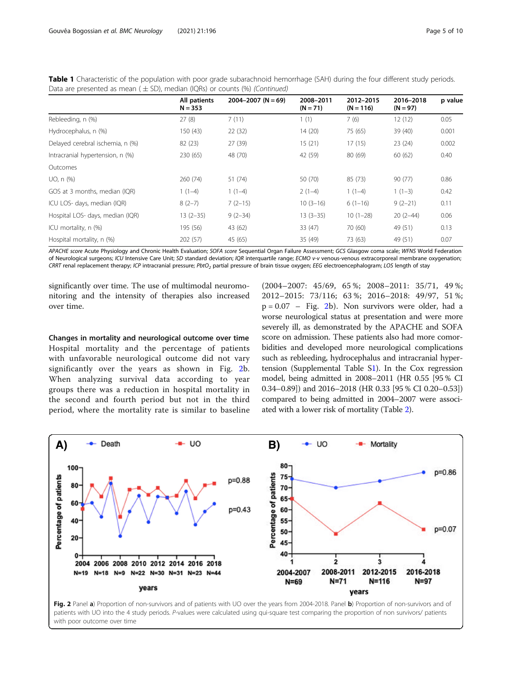|                                  | All patients<br>$N = 353$ | $2004 - 2007$ (N = 69) | 2008-2011<br>$(N = 71)$ | 2012-2015<br>$(N = 116)$ | 2016-2018<br>$(N = 97)$ | p value |
|----------------------------------|---------------------------|------------------------|-------------------------|--------------------------|-------------------------|---------|
| Rebleeding, n (%)                | 27(8)                     | 7(11)                  | 1(1)                    | 7(6)                     | 12(12)                  | 0.05    |
| Hydrocephalus, n (%)             | 150 (43)                  | 22(32)                 | 14(20)                  | 75 (65)                  | 39 (40)                 | 0.001   |
| Delayed cerebral ischemia, n (%) | 82 (23)                   | 27 (39)                | 15(21)                  | 17(15)                   | 23(24)                  | 0.002   |
| Intracranial hypertension, n (%) | 230 (65)                  | 48 (70)                | 42 (59)                 | 80 (69)                  | 60(62)                  | 0.40    |
| Outcomes                         |                           |                        |                         |                          |                         |         |
| UO, n (%)                        | 260 (74)                  | 51 (74)                | 50 (70)                 | 85 (73)                  | 90 (77)                 | 0.86    |
| GOS at 3 months, median (IQR)    | $1(1-4)$                  | $1(1-4)$               | $2(1-4)$                | $1(1-4)$                 | $1(1-3)$                | 0.42    |
| ICU LOS- days, median (IQR)      | $8(2-7)$                  | $7(2-15)$              | $10(3-16)$              | $6(1-16)$                | $9(2-21)$               | 0.11    |
| Hospital LOS- days, median (IQR) | $13(2-35)$                | $9(2-34)$              | $13(3-35)$              | $10(1-28)$               | $20(2-44)$              | 0.06    |
| ICU mortality, n (%)             | 195 (56)                  | 43 (62)                | 33(47)                  | 70 (60)                  | 49 (51)                 | 0.13    |
| Hospital mortality, n (%)        | 202 (57)                  | 45 (65)                | 35 (49)                 | 73 (63)                  | 49 (51)                 | 0.07    |

<span id="page-4-0"></span>Table 1 Characteristic of the population with poor grade subarachnoid hemorrhage (SAH) during the four different study periods. Data are presented as mean ( $\pm$  SD), median (IORs) or counts (%) (Continued)

APACHE score Acute Physiology and Chronic Health Evaluation; SOFA score Sequential Organ Failure Assessment; GCS Glasgow coma scale; WFNS World Federation of Neurological surgeons; ICU Intensive Care Unit; SD standard deviation; IQR interquartile range; ECMO v-v venous-venous extracorporeal membrane oxygenation; CRRT renal replacement therapy; ICP intracranial pressure; PbtO<sub>2</sub> partial pressure of brain tissue oxygen; EEG electroencephalogram; LOS length of stay

significantly over time. The use of multimodal neuromonitoring and the intensity of therapies also increased over time.

Changes in mortality and neurological outcome over time Hospital mortality and the percentage of patients with unfavorable neurological outcome did not vary significantly over the years as shown in Fig. 2b. When analyzing survival data according to year groups there was a reduction in hospital mortality in the second and fourth period but not in the third period, where the mortality rate is similar to baseline

(2004–2007: 45/69, 65 %; 2008–2011: 35/71, 49 %; 2012–2015: 73/116; 63 %; 2016–2018: 49/97, 51 %;  $p = 0.07$  – Fig. 2b). Non survivors were older, had a worse neurological status at presentation and were more severely ill, as demonstrated by the APACHE and SOFA score on admission. These patients also had more comorbidities and developed more neurological complications such as rebleeding, hydrocephalus and intracranial hypertension (Supplemental Table  $S1$  $S1$ ). In the Cox regression model, being admitted in 2008–2011 (HR 0.55 [95 % CI 0.34–0.89]) and 2016–2018 (HR 0.33 [95 % CI 0.20–0.53]) compared to being admitted in 2004–2007 were associated with a lower risk of mortality (Table [2\)](#page-5-0).



Fig. 2 Panel a) Proportion of non-survivors and of patients with UO over the years from 2004-2018. Panel b) Proportion of non-survivors and of patients with UO into the 4 study periods. P-values were calculated using qui-square test comparing the proportion of non survivors/ patients with poor outcome over time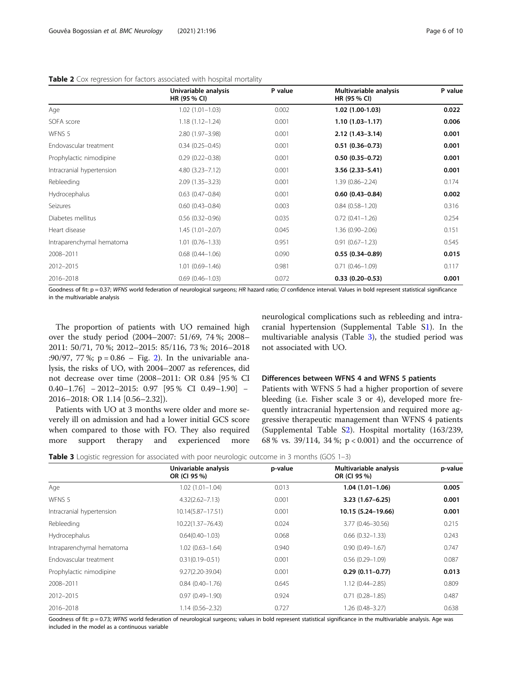<span id="page-5-0"></span>

|                           | Univariable analysis<br>HR (95 % CI) | P value | Multivariable analysis<br>HR (95 % CI) | P value |
|---------------------------|--------------------------------------|---------|----------------------------------------|---------|
| Age                       | $1.02(1.01 - 1.03)$                  | 0.002   | $1.02(1.00-1.03)$                      | 0.022   |
| SOFA score                | $1.18(1.12 - 1.24)$                  | 0.001   | $1.10(1.03 - 1.17)$                    | 0.006   |
| WFNS 5                    | 2.80 (1.97-3.98)                     | 0.001   | $2.12(1.43 - 3.14)$                    | 0.001   |
| Endovascular treatment    | $0.34(0.25 - 0.45)$                  | 0.001   | $0.51(0.36 - 0.73)$                    | 0.001   |
| Prophylactic nimodipine   | $0.29(0.22 - 0.38)$                  | 0.001   | $0.50(0.35 - 0.72)$                    | 0.001   |
| Intracranial hypertension | $4.80(3.23 - 7.12)$                  | 0.001   | $3.56(2.33 - 5.41)$                    | 0.001   |
| Rebleeding                | $2.09(1.35 - 3.23)$                  | 0.001   | $1.39(0.86 - 2.24)$                    | 0.174   |
| Hydrocephalus             | $0.63$ $(0.47 - 0.84)$               | 0.001   | $0.60(0.43 - 0.84)$                    | 0.002   |
| Seizures                  | $0.60(0.43 - 0.84)$                  | 0.003   | $0.84(0.58 - 1.20)$                    | 0.316   |
| Diabetes mellitus         | $0.56(0.32 - 0.96)$                  | 0.035   | $0.72(0.41 - 1.26)$                    | 0.254   |
| Heart disease             | $1.45(1.01 - 2.07)$                  | 0.045   | $1.36(0.90 - 2.06)$                    | 0.151   |
| Intraparenchymal hematoma | $1.01(0.76 - 1.33)$                  | 0.951   | $0.91(0.67 - 1.23)$                    | 0.545   |
| 2008-2011                 | $0.68$ $(0.44 - 1.06)$               | 0.090   | $0.55(0.34 - 0.89)$                    | 0.015   |
| 2012-2015                 | $1.01(0.69 - 1.46)$                  | 0.981   | $0.71(0.46 - 1.09)$                    | 0.117   |
| 2016-2018                 | $0.69(0.46 - 1.03)$                  | 0.072   | $0.33(0.20 - 0.53)$                    | 0.001   |

Goodness of fit: p = 0.37; WFNS world federation of neurological surgeons; HR hazard ratio; CI confidence interval. Values in bold represent statistical significance in the multivariable analysis

The proportion of patients with UO remained high over the study period (2004–2007: 51/69, 74 %; 2008– 2011: 50/71, 70 %; 2012–2015: 85/116, 73 %; 2016–2018 :90/97, 77 %;  $p = 0.86 - Fig. 2$ ). In the univariable analysis, the risks of UO, with 2004–2007 as references, did not decrease over time (2008–2011: OR 0.84 [95 % CI 0.40–1.76] − 2012–2015: 0.97 [95 % CI 0.49–1.90] − 2016–2018: OR 1.14 [0.56–2.32]).

Patients with UO at 3 months were older and more severely ill on admission and had a lower initial GCS score when compared to those with FO. They also required more support therapy and experienced more neurological complications such as rebleeding and intracranial hypertension (Supplemental Table [S1](#page-8-0)). In the multivariable analysis (Table 3), the studied period was not associated with UO.

#### Differences between WFNS 4 and WFNS 5 patients

Patients with WFNS 5 had a higher proportion of severe bleeding (i.e. Fisher scale 3 or 4), developed more frequently intracranial hypertension and required more aggressive therapeutic management than WFNS 4 patients (Supplemental Table [S2](#page-8-0)). Hospital mortality (163/239, 68 % vs. 39/114, 34 %; p < 0.001) and the occurrence of

**Table 3** Logistic regression for associated with poor neurologic outcome in 3 months (GOS 1-3)

|                           | Univariable analysis<br>OR (CI 95 %) | p-value | Multivariable analysis<br>OR (CI 95 %) | p-value |  |
|---------------------------|--------------------------------------|---------|----------------------------------------|---------|--|
| Age                       | $1.02(1.01 - 1.04)$                  | 0.013   | $1.04(1.01-1.06)$                      | 0.005   |  |
| WFNS 5                    | $4.32(2.62 - 7.13)$                  | 0.001   | $3.23(1.67 - 6.25)$                    | 0.001   |  |
| Intracranial hypertension | 10.14(5.87-17.51)                    | 0.001   | 10.15 (5.24-19.66)                     | 0.001   |  |
| Rebleeding                | 10.22(1.37-76.43)                    | 0.024   | 3.77 (0.46-30.56)                      | 0.215   |  |
| Hydrocephalus             | $0.64(0.40 - 1.03)$                  | 0.068   | $0.66$ $(0.32 - 1.33)$                 | 0.243   |  |
| Intraparenchymal hematoma | $1.02(0.63 - 1.64)$                  | 0.940   | $0.90(0.49 - 1.67)$                    | 0.747   |  |
| Endovascular treatment    | $0.31(0.19 - 0.51)$                  | 0.001   | $0.56(0.29 - 1.09)$                    | 0.087   |  |
| Prophylactic nimodipine   | 9.27(2.20-39.04)                     | 0.001   | $0.29(0.11 - 0.77)$                    | 0.013   |  |
| 2008-2011                 | $0.84(0.40 - 1.76)$                  | 0.645   | $1.12(0.44 - 2.85)$                    | 0.809   |  |
| 2012-2015                 | $0.97(0.49 - 1.90)$                  | 0.924   | $0.71(0.28 - 1.85)$                    | 0.487   |  |
| 2016-2018                 | $1.14(0.56 - 2.32)$                  | 0.727   | 1.26 (0.48-3.27)                       | 0.638   |  |

Goodness of fit: p = 0.73; WFNS world federation of neurological surgeons; values in bold represent statistical significance in the multivariable analysis. Age was included in the model as a continuous variable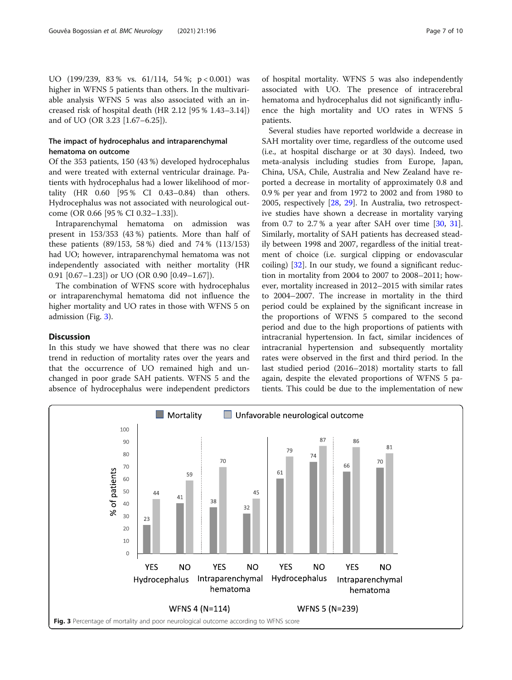# The impact of hydrocephalus and intraparenchymal hematoma on outcome

Of the 353 patients, 150 (43 %) developed hydrocephalus and were treated with external ventricular drainage. Patients with hydrocephalus had a lower likelihood of mortality (HR 0.60 [95 % CI 0.43–0.84) than others. Hydrocephalus was not associated with neurological outcome (OR 0.66 [95 % CI 0.32–1.33]).

Intraparenchymal hematoma on admission was present in 153/353 (43 %) patients. More than half of these patients (89/153, 58 %) died and 74 % (113/153) had UO; however, intraparenchymal hematoma was not independently associated with neither mortality (HR 0.91 [0.67–1.23]) or UO (OR 0.90 [0.49–1.67]).

The combination of WFNS score with hydrocephalus or intraparenchymal hematoma did not influence the higher mortality and UO rates in those with WFNS 5 on admission (Fig. 3).

# Discussion

In this study we have showed that there was no clear trend in reduction of mortality rates over the years and that the occurrence of UO remained high and unchanged in poor grade SAH patients. WFNS 5 and the absence of hydrocephalus were independent predictors of hospital mortality. WFNS 5 was also independently associated with UO. The presence of intracerebral hematoma and hydrocephalus did not significantly influence the high mortality and UO rates in WFNS 5 patients.

Several studies have reported worldwide a decrease in SAH mortality over time, regardless of the outcome used (i.e., at hospital discharge or at 30 days). Indeed, two meta-analysis including studies from Europe, Japan, China, USA, Chile, Australia and New Zealand have reported a decrease in mortality of approximately 0.8 and 0.9 % per year and from 1972 to 2002 and from 1980 to 2005, respectively [[28,](#page-9-0) [29](#page-9-0)]. In Australia, two retrospective studies have shown a decrease in mortality varying from 0.7 to 2.7% a year after SAH over time  $[30, 31]$  $[30, 31]$  $[30, 31]$  $[30, 31]$ . Similarly, mortality of SAH patients has decreased steadily between 1998 and 2007, regardless of the initial treatment of choice (i.e. surgical clipping or endovascular coiling) [[32\]](#page-9-0). In our study, we found a significant reduction in mortality from 2004 to 2007 to 2008–2011; however, mortality increased in 2012–2015 with similar rates to 2004–2007. The increase in mortality in the third period could be explained by the significant increase in the proportions of WFNS 5 compared to the second period and due to the high proportions of patients with intracranial hypertension. In fact, similar incidences of intracranial hypertension and subsequently mortality rates were observed in the first and third period. In the last studied period (2016–2018) mortality starts to fall again, despite the elevated proportions of WFNS 5 patients. This could be due to the implementation of new

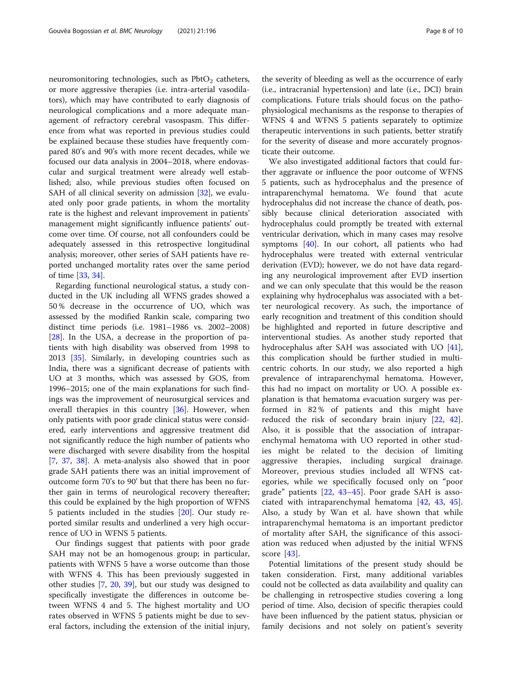neuromonitoring technologies, such as  $PbtO<sub>2</sub>$  catheters, or more aggressive therapies (i.e. intra-arterial vasodilators), which may have contributed to early diagnosis of neurological complications and a more adequate management of refractory cerebral vasospasm. This difference from what was reported in previous studies could be explained because these studies have frequently compared 80's and 90's with more recent decades, while we focused our data analysis in 2004–2018, where endovascular and surgical treatment were already well established; also, while previous studies often focused on SAH of all clinical severity on admission [\[32](#page-9-0)], we evaluated only poor grade patients, in whom the mortality rate is the highest and relevant improvement in patients' management might significantly influence patients' outcome over time. Of course, not all confounders could be adequately assessed in this retrospective longitudinal analysis; moreover, other series of SAH patients have reported unchanged mortality rates over the same period of time [[33,](#page-9-0) [34\]](#page-9-0).

Regarding functional neurological status, a study conducted in the UK including all WFNS grades showed a 50 % decrease in the occurrence of UO, which was assessed by the modified Rankin scale, comparing two distinct time periods (i.e. 1981–1986 vs. 2002–2008) [[28\]](#page-9-0). In the USA, a decrease in the proportion of patients with high disability was observed from 1998 to 2013 [\[35](#page-9-0)]. Similarly, in developing countries such as India, there was a significant decrease of patients with UO at 3 months, which was assessed by GOS, from 1996–2015; one of the main explanations for such findings was the improvement of neurosurgical services and overall therapies in this country [\[36](#page-9-0)]. However, when only patients with poor grade clinical status were considered, early interventions and aggressive treatment did not significantly reduce the high number of patients who were discharged with severe disability from the hospital [[7,](#page-8-0) [37,](#page-9-0) [38\]](#page-9-0). A meta-analysis also showed that in poor grade SAH patients there was an initial improvement of outcome form 70's to 90' but that there has been no further gain in terms of neurological recovery thereafter; this could be explained by the high proportion of WFNS 5 patients included in the studies [[20](#page-9-0)]. Our study reported similar results and underlined a very high occurrence of UO in WFNS 5 patients.

Our findings suggest that patients with poor grade SAH may not be an homogenous group; in particular, patients with WFNS 5 have a worse outcome than those with WFNS 4. This has been previously suggested in other studies [\[7](#page-8-0), [20](#page-9-0), [39\]](#page-9-0), but our study was designed to specifically investigate the differences in outcome between WFNS 4 and 5. The highest mortality and UO rates observed in WFNS 5 patients might be due to several factors, including the extension of the initial injury,

the severity of bleeding as well as the occurrence of early (i.e., intracranial hypertension) and late (i.e., DCI) brain complications. Future trials should focus on the pathophysiological mechanisms as the response to therapies of WFNS 4 and WFNS 5 patients separately to optimize therapeutic interventions in such patients, better stratify for the severity of disease and more accurately prognosticate their outcome.

We also investigated additional factors that could further aggravate or influence the poor outcome of WFNS 5 patients, such as hydrocephalus and the presence of intraparenchymal hematoma. We found that acute hydrocephalus did not increase the chance of death, possibly because clinical deterioration associated with hydrocephalus could promptly be treated with external ventricular derivation, which in many cases may resolve symptoms [[40\]](#page-9-0). In our cohort, all patients who had hydrocephalus were treated with external ventricular derivation (EVD); however, we do not have data regarding any neurological improvement after EVD insertion and we can only speculate that this would be the reason explaining why hydrocephalus was associated with a better neurological recovery. As such, the importance of early recognition and treatment of this condition should be highlighted and reported in future descriptive and interventional studies. As another study reported that hydrocephalus after SAH was associated with UO [\[41](#page-9-0)], this complication should be further studied in multicentric cohorts. In our study, we also reported a high prevalence of intraparenchymal hematoma. However, this had no impact on mortality or UO. A possible explanation is that hematoma evacuation surgery was performed in 82 % of patients and this might have reduced the risk of secondary brain injury [\[22](#page-9-0), [42](#page-9-0)]. Also, it is possible that the association of intraparenchymal hematoma with UO reported in other studies might be related to the decision of limiting aggressive therapies, including surgical drainage. Moreover, previous studies included all WFNS categories, while we specifically focused only on "poor grade" patients [[22,](#page-9-0) [43](#page-9-0)–[45\]](#page-9-0). Poor grade SAH is associated with intraparenchymal hematoma [\[42](#page-9-0), [43,](#page-9-0) [45](#page-9-0)]. Also, a study by Wan et al. have shown that while intraparenchymal hematoma is an important predictor of mortality after SAH, the significance of this association was reduced when adjusted by the initial WFNS score [[43\]](#page-9-0).

Potential limitations of the present study should be taken consideration. First, many additional variables could not be collected as data availability and quality can be challenging in retrospective studies covering a long period of time. Also, decision of specific therapies could have been influenced by the patient status, physician or family decisions and not solely on patient's severity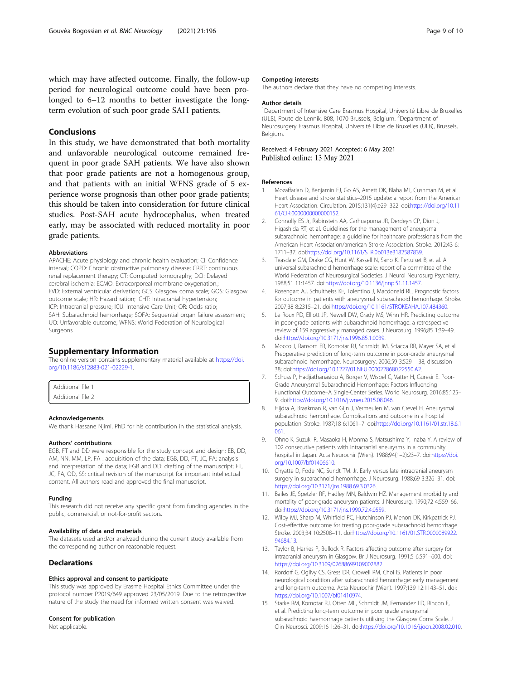<span id="page-8-0"></span>which may have affected outcome. Finally, the follow-up period for neurological outcome could have been prolonged to 6–12 months to better investigate the longterm evolution of such poor grade SAH patients.

# Conclusions

In this study, we have demonstrated that both mortality and unfavorable neurological outcome remained frequent in poor grade SAH patients. We have also shown that poor grade patients are not a homogenous group, and that patients with an initial WFNS grade of 5 experience worse prognosis than other poor grade patients; this should be taken into consideration for future clinical studies. Post-SAH acute hydrocephalus, when treated early, may be associated with reduced mortality in poor grade patients.

#### Abbreviations

APACHE: Acute physiology and chronic health evaluation; CI: Confidence interval; COPD: Chronic obstructive pulmonary disease; CRRT: continuous renal replacement therapy; CT: Computed tomography; DCI: Delayed cerebral ischemia; ECMO: Extracorporeal membrane oxygenation.; EVD: External ventricular derivation; GCS: Glasgow coma scale; GOS: Glasgow outcome scale; HR: Hazard ration; ICHT: Intracranial hypertension; ICP: Intracranial pressure; ICU: Intensive Care Unit; OR: Odds ratio; SAH: Subarachnoid hemorrhage; SOFA: Sequential organ failure assessment; UO: Unfavorable outcome; WFNS: World Federation of Neurological Surgeons

# Supplementary Information

The online version contains supplementary material available at [https://doi.](https://doi.org/10.1186/s12883-021-02229-1) [org/10.1186/s12883-021-02229-1.](https://doi.org/10.1186/s12883-021-02229-1)

Additional file 1

Additional file 2

#### Acknowledgements

We thank Hassane Njimi, PhD for his contribution in the statistical analysis.

#### Authors' contributions

EGB, FT and DD were responsible for the study concept and design; EB, DD, AM, NN, MM, LP, FA : acquisition of the data; EGB, DD, FT, JC, FA: analysis and interpretation of the data; EGB and DD: drafting of the manuscript; FT, JC, FA, OD, SS: critical revision of the manuscript for important intellectual content. All authors read and approved the final manuscript.

### Funding

This research did not receive any specific grant from funding agencies in the public, commercial, or not-for-profit sectors.

#### Availability of data and materials

The datasets used and/or analyzed during the current study available from the corresponding author on reasonable request.

# Declarations

#### Ethics approval and consent to participate

This study was approved by Erasme Hospital Ethics Committee under the protocol number P2019/649 approved 23/05/2019. Due to the retrospective nature of the study the need for informed written consent was waived.

# Consent for publication

Not applicable.

#### Competing interests

The authors declare that they have no competing interests.

#### Author details

<sup>1</sup>Department of Intensive Care Erasmus Hospital, Université Libre de Bruxelles (ULB), Route de Lennik, 808, 1070 Brussels, Belgium. <sup>2</sup>Department of Neurosurgery Erasmus Hospital, Université Libre de Bruxelles (ULB), Brussels, Belgium.

Received: 4 February 2021 Accepted: 6 May 2021 Published online: 13 May 2021

#### References

- 1. Mozaffarian D, Benjamin EJ, Go AS, Arnett DK, Blaha MJ, Cushman M, et al. Heart disease and stroke statistics–2015 update: a report from the American Heart Association. Circulation. 2015;131(4):e29–322. doi[:https://doi.org/10.11](https://doi.org/10.1161/CIR.0000000000000152) [61/CIR.0000000000000152.](https://doi.org/10.1161/CIR.0000000000000152)
- 2. Connolly ES Jr, Rabinstein AA, Carhuapoma JR, Derdeyn CP, Dion J, Higashida RT, et al. Guidelines for the management of aneurysmal subarachnoid hemorrhage: a guideline for healthcare professionals from the American Heart Association/american Stroke Association. Stroke. 2012;43 6: 1711–37. doi[:https://doi.org/10.1161/STR.0b013e3182587839.](https://doi.org/10.1161/STR.0b013e3182587839)
- 3. Teasdale GM, Drake CG, Hunt W, Kassell N, Sano K, Pertuiset B, et al. A universal subarachnoid hemorrhage scale: report of a committee of the World Federation of Neurosurgical Societies. J Neurol Neurosurg Psychiatry. 1988;51 11:1457. doi:[https://doi.org/10.1136/jnnp.51.11.1457.](https://doi.org/10.1136/jnnp.51.11.1457)
- 4. Rosengart AJ, Schultheiss KE, Tolentino J, Macdonald RL. Prognostic factors for outcome in patients with aneurysmal subarachnoid hemorrhage. Stroke. 2007;38 8:2315–21. doi:<https://doi.org/10.1161/STROKEAHA.107.484360>.
- Le Roux PD, Elliott JP, Newell DW, Grady MS, Winn HR. Predicting outcome in poor-grade patients with subarachnoid hemorrhage: a retrospective review of 159 aggressively managed cases. J Neurosurg. 1996;85 1:39–49. doi[:https://doi.org/10.3171/jns.1996.85.1.0039](https://doi.org/10.3171/jns.1996.85.1.0039).
- 6. Mocco J, Ransom ER, Komotar RJ, Schmidt JM, Sciacca RR, Mayer SA, et al. Preoperative prediction of long-term outcome in poor-grade aneurysmal subarachnoid hemorrhage. Neurosurgery. 2006;59 3:529 – 38; discussion – 38; doi[:https://doi.org/10.1227/01.NEU.0000228680.22550.A2.](https://doi.org/10.1227/01.NEU.0000228680.22550.A2)
- 7. Schuss P, Hadjiathanasiou A, Borger V, Wispel C, Vatter H, Guresir E. Poor-Grade Aneurysmal Subarachnoid Hemorrhage: Factors Influencing Functional Outcome–A Single-Center Series. World Neurosurg. 2016;85:125– 9. doi:[https://doi.org/10.1016/j.wneu.2015.08.046.](https://doi.org/10.1016/j.wneu.2015.08.046)
- 8. Hijdra A, Braakman R, van Gijn J, Vermeulen M, van Crevel H. Aneurysmal subarachnoid hemorrhage. Complications and outcome in a hospital population. Stroke. 1987;18 6:1061–7. doi:[https://doi.org/10.1161/01.str.18.6.1](https://doi.org/10.1161/01.str.18.6.1061) [061.](https://doi.org/10.1161/01.str.18.6.1061)
- 9. Ohno K, Suzuki R, Masaoka H, Monma S, Matsushima Y, Inaba Y. A review of 102 consecutive patients with intracranial aneurysms in a community hospital in Japan. Acta Neurochir (Wien). 1988;94(1–2):23–7. doi[:https://doi.](https://doi.org/10.1007/bf01406610) [org/10.1007/bf01406610](https://doi.org/10.1007/bf01406610).
- 10. Chyatte D, Fode NC, Sundt TM. Jr. Early versus late intracranial aneurysm surgery in subarachnoid hemorrhage. J Neurosurg. 1988;69 3:326–31. doi: <https://doi.org/10.3171/jns.1988.69.3.0326>.
- 11. Bailes JE, Spetzler RF, Hadley MN, Baldwin HZ. Management morbidity and mortality of poor-grade aneurysm patients. J Neurosurg. 1990;72 4:559–66. doi[:https://doi.org/10.3171/jns.1990.72.4.0559](https://doi.org/10.3171/jns.1990.72.4.0559).
- 12. Wilby MJ, Sharp M, Whitfield PC, Hutchinson PJ, Menon DK, Kirkpatrick PJ. Cost-effective outcome for treating poor-grade subarachnoid hemorrhage. Stroke. 2003;34 10:2508–11. doi[:https://doi.org/10.1161/01.STR.0000089922.](https://doi.org/10.1161/01.STR.0000089922.94684.13) [94684.13.](https://doi.org/10.1161/01.STR.0000089922.94684.13)
- 13. Taylor B, Harries P, Bullock R. Factors affecting outcome after surgery for intracranial aneurysm in Glasgow. Br J Neurosurg. 1991;5 6:591–600. doi: [https://doi.org/10.3109/02688699109002882.](https://doi.org/10.3109/02688699109002882)
- 14. Rordorf G, Ogilvy CS, Gress DR, Crowell RM, Choi IS. Patients in poor neurological condition after subarachnoid hemorrhage: early management and long-term outcome. Acta Neurochir (Wien). 1997;139 12:1143–51. doi: [https://doi.org/10.1007/bf01410974.](https://doi.org/10.1007/bf01410974)
- 15. Starke RM, Komotar RJ, Otten ML, Schmidt JM, Fernandez LD, Rincon F, et al. Predicting long-term outcome in poor grade aneurysmal subarachnoid haemorrhage patients utilising the Glasgow Coma Scale. J Clin Neurosci. 2009;16 1:26–31. doi:<https://doi.org/10.1016/j.jocn.2008.02.010>.